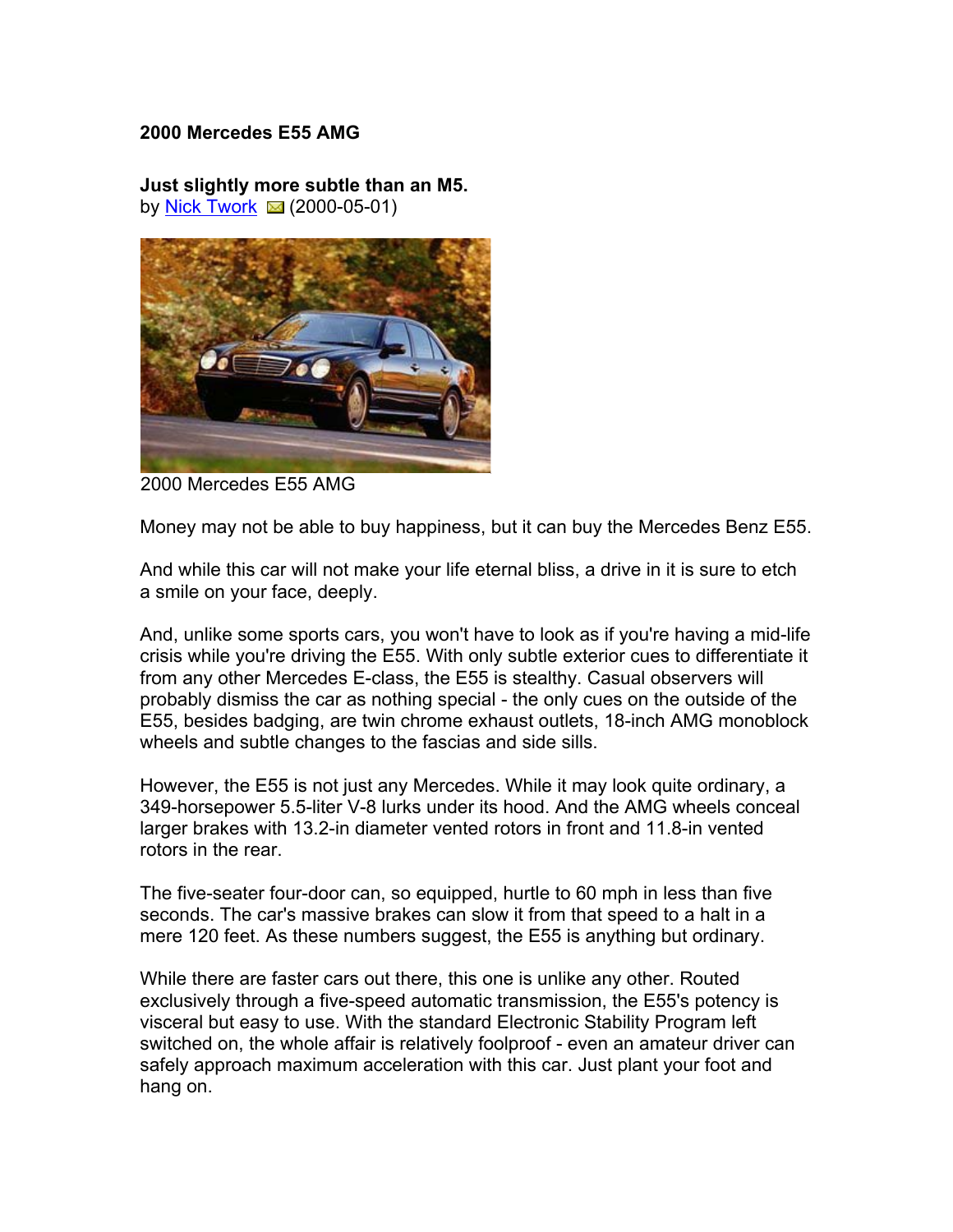## **2000 Mercedes E55 AMG**

**Just slightly more subtle than an M5.** by Nick Twork  $\approx$  (2000-05-01)



2000 Mercedes E55 AMG

Money may not be able to buy happiness, but it can buy the Mercedes Benz E55.

And while this car will not make your life eternal bliss, a drive in it is sure to etch a smile on your face, deeply.

And, unlike some sports cars, you won't have to look as if you're having a mid-life crisis while you're driving the E55. With only subtle exterior cues to differentiate it from any other Mercedes E-class, the E55 is stealthy. Casual observers will probably dismiss the car as nothing special - the only cues on the outside of the E55, besides badging, are twin chrome exhaust outlets, 18-inch AMG monoblock wheels and subtle changes to the fascias and side sills.

However, the E55 is not just any Mercedes. While it may look quite ordinary, a 349-horsepower 5.5-liter V-8 lurks under its hood. And the AMG wheels conceal larger brakes with 13.2-in diameter vented rotors in front and 11.8-in vented rotors in the rear.

The five-seater four-door can, so equipped, hurtle to 60 mph in less than five seconds. The car's massive brakes can slow it from that speed to a halt in a mere 120 feet. As these numbers suggest, the E55 is anything but ordinary.

While there are faster cars out there, this one is unlike any other. Routed exclusively through a five-speed automatic transmission, the E55's potency is visceral but easy to use. With the standard Electronic Stability Program left switched on, the whole affair is relatively foolproof - even an amateur driver can safely approach maximum acceleration with this car. Just plant your foot and hang on.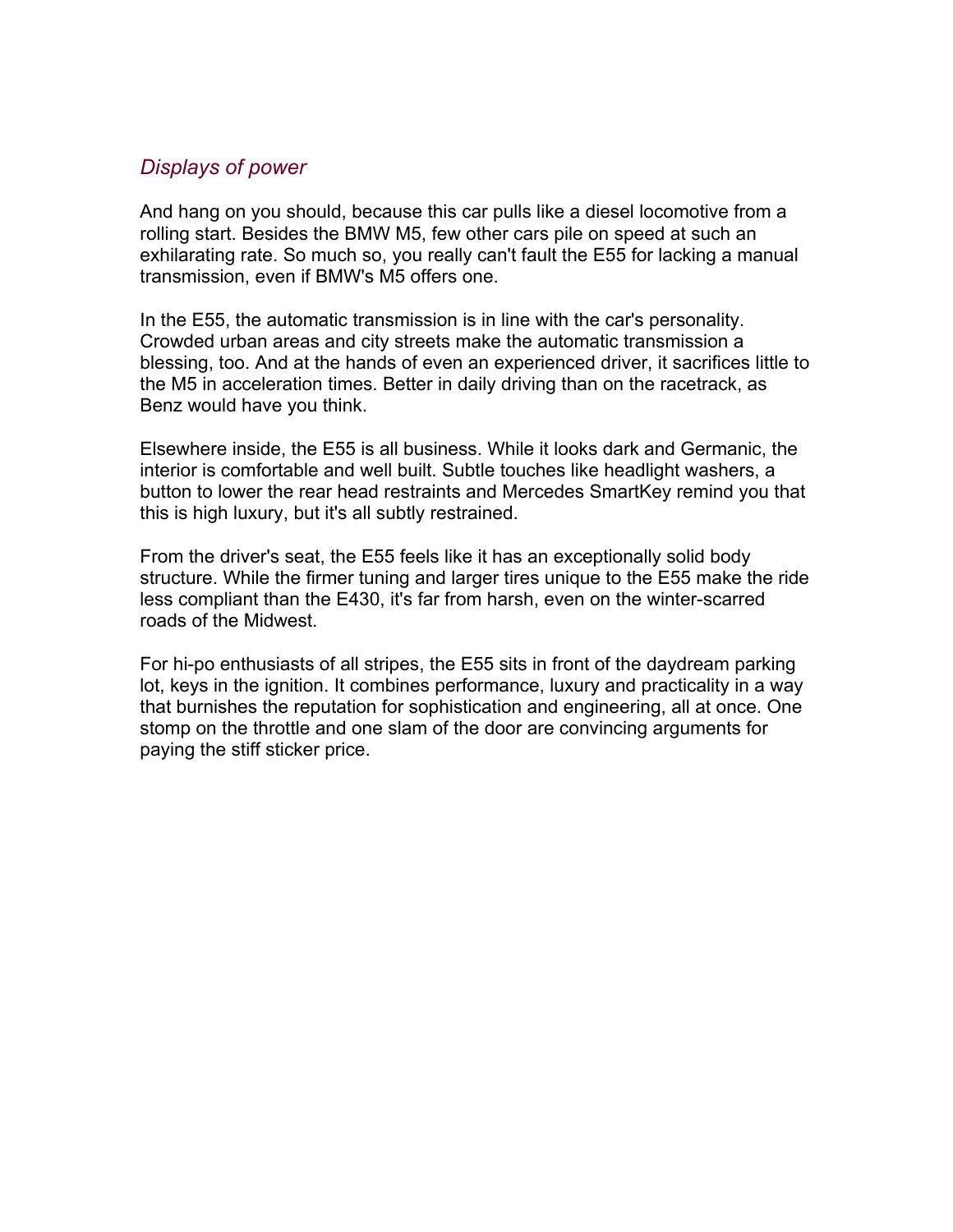## *Displays of power*

And hang on you should, because this car pulls like a diesel locomotive from a rolling start. Besides the BMW M5, few other cars pile on speed at such an exhilarating rate. So much so, you really can't fault the E55 for lacking a manual transmission, even if BMW's M5 offers one.

In the E55, the automatic transmission is in line with the car's personality. Crowded urban areas and city streets make the automatic transmission a blessing, too. And at the hands of even an experienced driver, it sacrifices little to the M5 in acceleration times. Better in daily driving than on the racetrack, as Benz would have you think.

Elsewhere inside, the E55 is all business. While it looks dark and Germanic, the interior is comfortable and well built. Subtle touches like headlight washers, a button to lower the rear head restraints and Mercedes SmartKey remind you that this is high luxury, but it's all subtly restrained.

From the driver's seat, the E55 feels like it has an exceptionally solid body structure. While the firmer tuning and larger tires unique to the E55 make the ride less compliant than the E430, it's far from harsh, even on the winter-scarred roads of the Midwest.

For hi-po enthusiasts of all stripes, the E55 sits in front of the daydream parking lot, keys in the ignition. It combines performance, luxury and practicality in a way that burnishes the reputation for sophistication and engineering, all at once. One stomp on the throttle and one slam of the door are convincing arguments for paying the stiff sticker price.